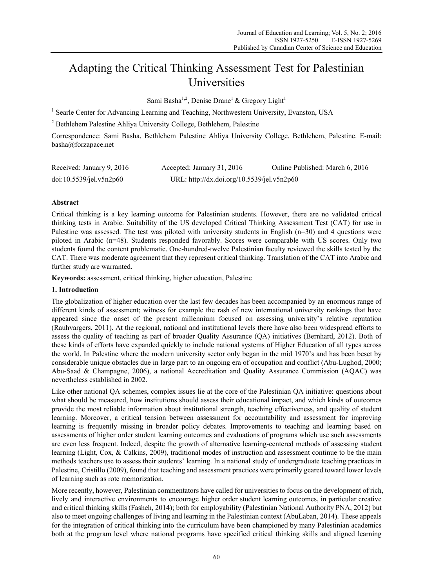# Adapting the Critical Thinking Assessment Test for Palestinian Universities

Sami Basha<sup>1,2</sup>, Denise Drane<sup>1</sup> & Gregory Light<sup>1</sup>

<sup>1</sup> Searle Center for Advancing Learning and Teaching, Northwestern University, Evanston, USA

<sup>2</sup> Bethlehem Palestine Ahliya University College, Bethlehem, Palestine

Correspondence: Sami Basha, Bethlehem Palestine Ahliya University College, Bethlehem, Palestine. E-mail: basha@forzapace.net

| Received: January 9, 2016 | Accepted: January 31, 2016                 | Online Published: March 6, 2016 |
|---------------------------|--------------------------------------------|---------------------------------|
| doi:10.5539/1el.v5n2p60   | URL: http://dx.doi.org/10.5539/jel.v5n2p60 |                                 |

# **Abstract**

Critical thinking is a key learning outcome for Palestinian students. However, there are no validated critical thinking tests in Arabic. Suitability of the US developed Critical Thinking Assessment Test (CAT) for use in Palestine was assessed. The test was piloted with university students in English (n=30) and 4 questions were piloted in Arabic (n=48). Students responded favorably. Scores were comparable with US scores. Only two students found the content problematic. One-hundred-twelve Palestinian faculty reviewed the skills tested by the CAT. There was moderate agreement that they represent critical thinking. Translation of the CAT into Arabic and further study are warranted.

**Keywords:** assessment, critical thinking, higher education, Palestine

# **1. Introduction**

The globalization of higher education over the last few decades has been accompanied by an enormous range of different kinds of assessment; witness for example the rash of new international university rankings that have appeared since the onset of the present millennium focused on assessing university's relative reputation (Rauhvargers, 2011). At the regional, national and institutional levels there have also been widespread efforts to assess the quality of teaching as part of broader Quality Assurance (QA) initiatives (Bernhard, 2012). Both of these kinds of efforts have expanded quickly to include national systems of Higher Education of all types across the world. In Palestine where the modern university sector only began in the mid 1970's and has been beset by considerable unique obstacles due in large part to an ongoing era of occupation and conflict (Abu-Lughod, 2000; Abu-Saad & Champagne, 2006), a national Accreditation and Quality Assurance Commission (AQAC) was nevertheless established in 2002.

Like other national QA schemes, complex issues lie at the core of the Palestinian QA initiative: questions about what should be measured, how institutions should assess their educational impact, and which kinds of outcomes provide the most reliable information about institutional strength, teaching effectiveness, and quality of student learning. Moreover, a critical tension between assessment for accountability and assessment for improving learning is frequently missing in broader policy debates. Improvements to teaching and learning based on assessments of higher order student learning outcomes and evaluations of programs which use such assessments are even less frequent. Indeed, despite the growth of alternative learning-centered methods of assessing student learning (Light, Cox, & Calkins, 2009), traditional modes of instruction and assessment continue to be the main methods teachers use to assess their students' learning. In a national study of undergraduate teaching practices in Palestine, Cristillo (2009), found that teaching and assessment practices were primarily geared toward lower levels of learning such as rote memorization.

More recently, however, Palestinian commentators have called for universities to focus on the development of rich, lively and interactive environments to encourage higher order student learning outcomes, in particular creative and critical thinking skills (Fasheh, 2014); both for employability (Palestinian National Authority PNA, 2012) but also to meet ongoing challenges of living and learning in the Palestinian context (AbuLaban, 2014). These appeals for the integration of critical thinking into the curriculum have been championed by many Palestinian academics both at the program level where national programs have specified critical thinking skills and aligned learning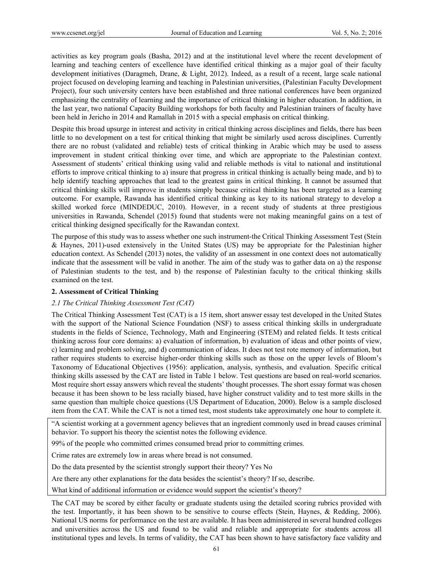activities as key program goals (Basha, 2012) and at the institutional level where the recent development of learning and teaching centers of excellence have identified critical thinking as a major goal of their faculty development initiatives (Daragmeh, Drane, & Light, 2012). Indeed, as a result of a recent, large scale national project focused on developing learning and teaching in Palestinian universities, (Palestinian Faculty Development Project), four such university centers have been established and three national conferences have been organized emphasizing the centrality of learning and the importance of critical thinking in higher education. In addition, in the last year, two national Capacity Building workshops for both faculty and Palestinian trainers of faculty have been held in Jericho in 2014 and Ramallah in 2015 with a special emphasis on critical thinking.

Despite this broad upsurge in interest and activity in critical thinking across disciplines and fields, there has been little to no development on a test for critical thinking that might be similarly used across disciplines. Currently there are no robust (validated and reliable) tests of critical thinking in Arabic which may be used to assess improvement in student critical thinking over time, and which are appropriate to the Palestinian context. Assessment of students' critical thinking using valid and reliable methods is vital to national and institutional efforts to improve critical thinking to a) insure that progress in critical thinking is actually being made, and b) to help identify teaching approaches that lead to the greatest gains in critical thinking. It cannot be assumed that critical thinking skills will improve in students simply because critical thinking has been targeted as a learning outcome. For example, Rawanda has identified critical thinking as key to its national strategy to develop a skilled worked force (MINDEDUC, 2010). However, in a recent study of students at three prestigious universities in Rawanda, Schendel (2015) found that students were not making meaningful gains on a test of critical thinking designed specifically for the Rawandan context.

The purpose of this study was to assess whether one such instrument-the Critical Thinking Assessment Test (Stein & Haynes, 2011)-used extensively in the United States (US) may be appropriate for the Palestinian higher education context. As Schendel (2013) notes, the validity of an assessment in one context does not automatically indicate that the assessment will be valid in another. The aim of the study was to gather data on a) the response of Palestinian students to the test, and b) the response of Palestinian faculty to the critical thinking skills examined on the test.

# **2. Assessment of Critical Thinking**

# *2.1 The Critical Thinking Assessment Test (CAT)*

The Critical Thinking Assessment Test (CAT) is a 15 item, short answer essay test developed in the United States with the support of the National Science Foundation (NSF) to assess critical thinking skills in undergraduate students in the fields of Science, Technology, Math and Engineering (STEM) and related fields. It tests critical thinking across four core domains: a) evaluation of information, b) evaluation of ideas and other points of view, c) learning and problem solving, and d) communication of ideas. It does not test rote memory of information, but rather requires students to exercise higher-order thinking skills such as those on the upper levels of Bloom's Taxonomy of Educational Objectives (1956): application, analysis, synthesis, and evaluation. Specific critical thinking skills assessed by the CAT are listed in Table 1 below. Test questions are based on real-world scenarios. Most require short essay answers which reveal the students' thought processes. The short essay format was chosen because it has been shown to be less racially biased, have higher construct validity and to test more skills in the same question than multiple choice questions (US Department of Education, 2000). Below is a sample disclosed item from the CAT. While the CAT is not a timed test, most students take approximately one hour to complete it.

"A scientist working at a government agency believes that an ingredient commonly used in bread causes criminal behavior. To support his theory the scientist notes the following evidence.

99% of the people who committed crimes consumed bread prior to committing crimes.

Crime rates are extremely low in areas where bread is not consumed.

Do the data presented by the scientist strongly support their theory? Yes No

Are there any other explanations for the data besides the scientist's theory? If so, describe.

What kind of additional information or evidence would support the scientist's theory?

The CAT may be scored by either faculty or graduate students using the detailed scoring rubrics provided with the test. Importantly, it has been shown to be sensitive to course effects (Stein, Haynes, & Redding, 2006). National US norms for performance on the test are available. It has been administered in several hundred colleges and universities across the US and found to be valid and reliable and appropriate for students across all institutional types and levels. In terms of validity, the CAT has been shown to have satisfactory face validity and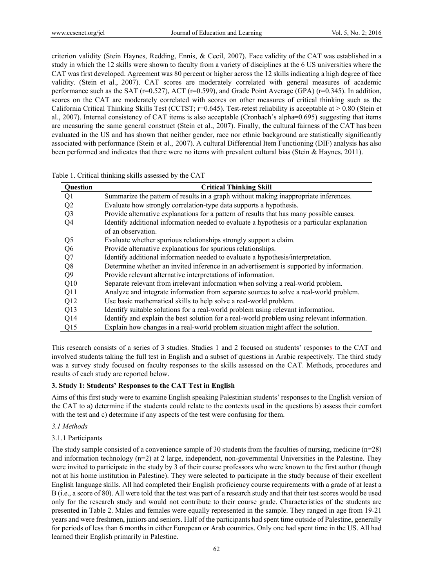criterion validity (Stein Haynes, Redding, Ennis, & Cecil, 2007). Face validity of the CAT was established in a study in which the 12 skills were shown to faculty from a variety of disciplines at the 6 US universities where the CAT was first developed. Agreement was 80 percent or higher across the 12 skills indicating a high degree of face validity. (Stein et al., 2007). CAT scores are moderately correlated with general measures of academic performance such as the SAT (r=0.527), ACT (r=0.599), and Grade Point Average (GPA) (r=0.345). In addition, scores on the CAT are moderately correlated with scores on other measures of critical thinking such as the California Critical Thinking Skills Test (CCTST; r=0.645). Test-retest reliability is acceptable at > 0.80 (Stein et al., 2007). Internal consistency of CAT items is also acceptable (Cronbach's alpha=0.695) suggesting that items are measuring the same general construct (Stein et al., 2007). Finally, the cultural fairness of the CAT has been evaluated in the US and has shown that neither gender, race nor ethnic background are statistically significantly associated with performance (Stein et al., 2007). A cultural Differential Item Functioning (DIF) analysis has also been performed and indicates that there were no items with prevalent cultural bias (Stein & Haynes, 2011).

| Question       | <b>Critical Thinking Skill</b>                                                              |
|----------------|---------------------------------------------------------------------------------------------|
| Q1             | Summarize the pattern of results in a graph without making inappropriate inferences.        |
| Q <sub>2</sub> | Evaluate how strongly correlation-type data supports a hypothesis.                          |
| Q3             | Provide alternative explanations for a pattern of results that has many possible causes.    |
| Q <sub>4</sub> | Identify additional information needed to evaluate a hypothesis or a particular explanation |
|                | of an observation                                                                           |
| Q <sub>5</sub> | Evaluate whether spurious relationships strongly support a claim.                           |
| Q <sub>6</sub> | Provide alternative explanations for spurious relationships.                                |
| Q7             | Identify additional information needed to evaluate a hypothesis/interpretation.             |
| Q <sub>8</sub> | Determine whether an invited inference in an advertisement is supported by information.     |
| Q <sub>9</sub> | Provide relevant alternative interpretations of information.                                |
| Q10            | Separate relevant from irrelevant information when solving a real-world problem.            |
| Q11            | Analyze and integrate information from separate sources to solve a real-world problem.      |
| Q12            | Use basic mathematical skills to help solve a real-world problem.                           |
| Q13            | Identify suitable solutions for a real-world problem using relevant information.            |
| Q14            | Identify and explain the best solution for a real-world problem using relevant information. |
| Q15            | Explain how changes in a real-world problem situation might affect the solution.            |

Table 1. Critical thinking skills assessed by the CAT

This research consists of a series of 3 studies. Studies 1 and 2 focused on students' responses to the CAT and involved students taking the full test in English and a subset of questions in Arabic respectively. The third study was a survey study focused on faculty responses to the skills assessed on the CAT. Methods, procedures and results of each study are reported below.

# **3. Study 1: Students' Responses to the CAT Test in English**

Aims of this first study were to examine English speaking Palestinian students' responses to the English version of the CAT to a) determine if the students could relate to the contexts used in the questions b) assess their comfort with the test and c) determine if any aspects of the test were confusing for them.

# *3.1 Methods*

# 3.1.1 Participants

The study sample consisted of a convenience sample of 30 students from the faculties of nursing, medicine (n=28) and information technology (n=2) at 2 large, independent, non-governmental Universities in the Palestine. They were invited to participate in the study by 3 of their course professors who were known to the first author (though not at his home institution in Palestine). They were selected to participate in the study because of their excellent English language skills. All had completed their English proficiency course requirements with a grade of at least a B (i.e., a score of 80). All were told that the test was part of a research study and that their test scores would be used only for the research study and would not contribute to their course grade. Characteristics of the students are presented in Table 2. Males and females were equally represented in the sample. They ranged in age from 19-21 years and were freshmen, juniors and seniors. Half of the participants had spent time outside of Palestine, generally for periods of less than 6 months in either European or Arab countries. Only one had spent time in the US. All had learned their English primarily in Palestine.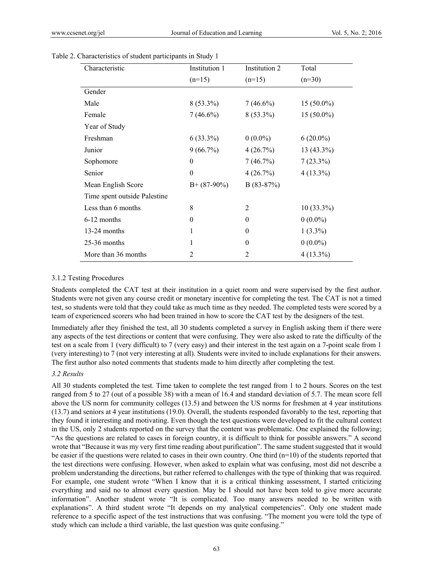| Characteristic               | Institution 1  | Institution 2  | Total        |
|------------------------------|----------------|----------------|--------------|
|                              | $(n=15)$       | $(n=15)$       | $(n=30)$     |
| Gender                       |                |                |              |
| Male                         | $8(53.3\%)$    | $7(46.6\%)$    | $15(50.0\%)$ |
| Female                       | $7(46.6\%)$    | $8(53.3\%)$    | $15(50.0\%)$ |
| Year of Study                |                |                |              |
| Freshman                     | $6(33.3\%)$    | $0(0.0\%)$     | $6(20.0\%)$  |
| Junior                       | $9(66.7\%)$    | 4(26.7%)       | 13 (43.3%)   |
| Sophomore                    | $\theta$       | 7(46.7%)       | $7(23.3\%)$  |
| Senior                       | $\theta$       | 4(26.7%)       | $4(13.3\%)$  |
| Mean English Score           | $B+ (87-90\%)$ | $B(83-87%)$    |              |
| Time spent outside Palestine |                |                |              |
| Less than 6 months           | 8              | $\overline{2}$ | $10(33.3\%)$ |
| 6-12 months                  | $\theta$       | $\theta$       | $0(0.0\%)$   |
| 13-24 months                 | 1              | $\theta$       | $1(3.3\%)$   |
| $25-36$ months               | 1              | $\theta$       | $0(0.0\%)$   |
| More than 36 months          | $\overline{2}$ | $\overline{2}$ | $4(13.3\%)$  |

Table 2. Characteristics of student participants in Study 1

#### 3.1.2 Testing Procedures

Students completed the CAT test at their institution in a quiet room and were supervised by the first author. Students were not given any course credit or monetary incentive for completing the test. The CAT is not a timed test, so students were told that they could take as much time as they needed. The completed tests were scored by a team of experienced scorers who had been trained in how to score the CAT test by the designers of the test.

Immediately after they finished the test, all 30 students completed a survey in English asking them if there were any aspects of the test directions or content that were confusing. They were also asked to rate the difficulty of the test on a scale from 1 (very difficult) to 7 (very easy) and their interest in the test again on a 7-point scale from 1 (very interesting) to 7 (not very interesting at all). Students were invited to include explanations for their answers. The first author also noted comments that students made to him directly after completing the test.

# *3.2 Results*

All 30 students completed the test. Time taken to complete the test ranged from 1 to 2 hours. Scores on the test ranged from 5 to 27 (out of a possible 38) with a mean of 16.4 and standard deviation of 5.7. The mean score fell above the US norm for community colleges (13.5) and between the US norms for freshmen at 4 year institutions (13.7) and seniors at 4 year institutions (19.0). Overall, the students responded favorably to the test, reporting that they found it interesting and motivating. Even though the test questions were developed to fit the cultural context in the US, only 2 students reported on the survey that the content was problematic. One explained the following; "As the questions are related to cases in foreign country, it is difficult to think for possible answers." A second wrote that "Because it was my very first time reading about purification". The same student suggested that it would be easier if the questions were related to cases in their own country. One third (n=10) of the students reported that the test directions were confusing. However, when asked to explain what was confusing, most did not describe a problem understanding the directions, but rather referred to challenges with the type of thinking that was required. For example, one student wrote "When I know that it is a critical thinking assessment, I started criticizing everything and said no to almost every question. May be I should not have been told to give more accurate information". Another student wrote "It is complicated. Too many answers needed to be written with explanations". A third student wrote "It depends on my analytical competencies". Only one student made reference to a specific aspect of the test instructions that was confusing. "The moment you were told the type of study which can include a third variable, the last question was quite confusing."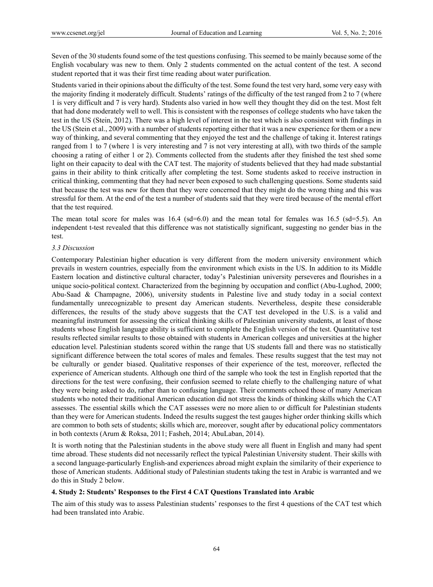Seven of the 30 students found some of the test questions confusing. This seemed to be mainly because some of the English vocabulary was new to them. Only 2 students commented on the actual content of the test. A second student reported that it was their first time reading about water purification.

Students varied in their opinions about the difficulty of the test. Some found the test very hard, some very easy with the majority finding it moderately difficult. Students' ratings of the difficulty of the test ranged from 2 to 7 (where 1 is very difficult and 7 is very hard). Students also varied in how well they thought they did on the test. Most felt that had done moderately well to well. This is consistent with the responses of college students who have taken the test in the US (Stein, 2012). There was a high level of interest in the test which is also consistent with findings in the US (Stein et al., 2009) with a number of students reporting either that it was a new experience for them or a new way of thinking, and several commenting that they enjoyed the test and the challenge of taking it. Interest ratings ranged from 1 to 7 (where 1 is very interesting and 7 is not very interesting at all), with two thirds of the sample choosing a rating of either 1 or 2). Comments collected from the students after they finished the test shed some light on their capacity to deal with the CAT test. The majority of students believed that they had made substantial gains in their ability to think critically after completing the test. Some students asked to receive instruction in critical thinking, commenting that they had never been exposed to such challenging questions. Some students said that because the test was new for them that they were concerned that they might do the wrong thing and this was stressful for them. At the end of the test a number of students said that they were tired because of the mental effort that the test required.

The mean total score for males was  $16.4$  (sd=6.0) and the mean total for females was  $16.5$  (sd=5.5). An independent t-test revealed that this difference was not statistically significant, suggesting no gender bias in the test.

#### *3.3 Discussion*

Contemporary Palestinian higher education is very different from the modern university environment which prevails in western countries, especially from the environment which exists in the US. In addition to its Middle Eastern location and distinctive cultural character, today's Palestinian university perseveres and flourishes in a unique socio-political context. Characterized from the beginning by occupation and conflict (Abu-Lughod, 2000; Abu-Saad & Champagne, 2006), university students in Palestine live and study today in a social context fundamentally unrecognizable to present day American students. Nevertheless, despite these considerable differences, the results of the study above suggests that the CAT test developed in the U.S. is a valid and meaningful instrument for assessing the critical thinking skills of Palestinian university students, at least of those students whose English language ability is sufficient to complete the English version of the test. Quantitative test results reflected similar results to those obtained with students in American colleges and universities at the higher education level. Palestinian students scored within the range that US students fall and there was no statistically significant difference between the total scores of males and females. These results suggest that the test may not be culturally or gender biased. Qualitative responses of their experience of the test, moreover, reflected the experience of American students. Although one third of the sample who took the test in English reported that the directions for the test were confusing, their confusion seemed to relate chiefly to the challenging nature of what they were being asked to do, rather than to confusing language. Their comments echoed those of many American students who noted their traditional American education did not stress the kinds of thinking skills which the CAT assesses. The essential skills which the CAT assesses were no more alien to or difficult for Palestinian students than they were for American students. Indeed the results suggest the test gauges higher order thinking skills which are common to both sets of students; skills which are, moreover, sought after by educational policy commentators in both contexts (Arum & Roksa, 2011; Fasheh, 2014; AbuLaban, 2014).

It is worth noting that the Palestinian students in the above study were all fluent in English and many had spent time abroad. These students did not necessarily reflect the typical Palestinian University student. Their skills with a second language-particularly English-and experiences abroad might explain the similarity of their experience to those of American students. Additional study of Palestinian students taking the test in Arabic is warranted and we do this in Study 2 below.

# **4. Study 2: Students' Responses to the First 4 CAT Questions Translated into Arabic**

The aim of this study was to assess Palestinian students' responses to the first 4 questions of the CAT test which had been translated into Arabic.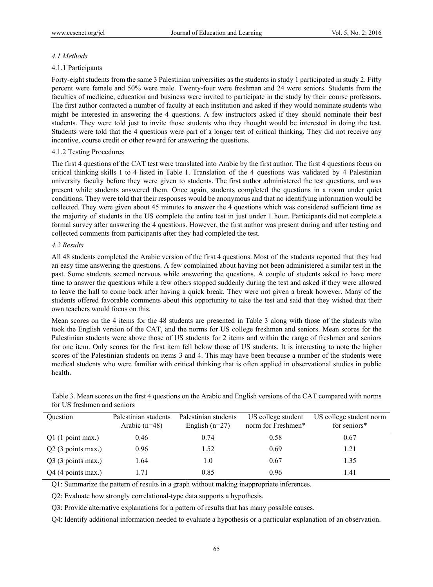#### *4.1 Methods*

#### 4.1.1 Participants

Forty-eight students from the same 3 Palestinian universities as the students in study 1 participated in study 2. Fifty percent were female and 50% were male. Twenty-four were freshman and 24 were seniors. Students from the faculties of medicine, education and business were invited to participate in the study by their course professors. The first author contacted a number of faculty at each institution and asked if they would nominate students who might be interested in answering the 4 questions. A few instructors asked if they should nominate their best students. They were told just to invite those students who they thought would be interested in doing the test. Students were told that the 4 questions were part of a longer test of critical thinking. They did not receive any incentive, course credit or other reward for answering the questions.

#### 4.1.2 Testing Procedures

The first 4 questions of the CAT test were translated into Arabic by the first author. The first 4 questions focus on critical thinking skills 1 to 4 listed in Table 1. Translation of the 4 questions was validated by 4 Palestinian university faculty before they were given to students. The first author administered the test questions, and was present while students answered them. Once again, students completed the questions in a room under quiet conditions. They were told that their responses would be anonymous and that no identifying information would be collected. They were given about 45 minutes to answer the 4 questions which was considered sufficient time as the majority of students in the US complete the entire test in just under 1 hour. Participants did not complete a formal survey after answering the 4 questions. However, the first author was present during and after testing and collected comments from participants after they had completed the test.

#### *4.2 Results*

All 48 students completed the Arabic version of the first 4 questions. Most of the students reported that they had an easy time answering the questions. A few complained about having not been administered a similar test in the past. Some students seemed nervous while answering the questions. A couple of students asked to have more time to answer the questions while a few others stopped suddenly during the test and asked if they were allowed to leave the hall to come back after having a quick break. They were not given a break however. Many of the students offered favorable comments about this opportunity to take the test and said that they wished that their own teachers would focus on this.

Mean scores on the 4 items for the 48 students are presented in Table 3 along with those of the students who took the English version of the CAT, and the norms for US college freshmen and seniors. Mean scores for the Palestinian students were above those of US students for 2 items and within the range of freshmen and seniors for one item. Only scores for the first item fell below those of US students. It is interesting to note the higher scores of the Palestinian students on items 3 and 4. This may have been because a number of the students were medical students who were familiar with critical thinking that is often applied in observational studies in public health.

| Question             | Palestinian students<br>Arabic $(n=48)$ | Palestinian students<br>English $(n=27)$ | US college student<br>norm for Freshmen* | US college student norm<br>for seniors* |
|----------------------|-----------------------------------------|------------------------------------------|------------------------------------------|-----------------------------------------|
| $Q1$ (1 point max.)  | 0.46                                    | 0.74                                     | 0.58                                     | 0.67                                    |
| $Q2$ (3 points max.) | 0.96                                    | 1.52                                     | 0.69                                     | 1.21                                    |
| $Q3$ (3 points max.) | 1.64                                    | 1.0                                      | 0.67                                     | 1.35                                    |
| $Q4$ (4 points max.) | 1.71                                    | 0.85                                     | 0.96                                     | 1.41                                    |

Table 3. Mean scores on the first 4 questions on the Arabic and English versions of the CAT compared with norms for US freshmen and seniors

Q1: Summarize the pattern of results in a graph without making inappropriate inferences.

Q2: Evaluate how strongly correlational-type data supports a hypothesis.

Q3: Provide alternative explanations for a pattern of results that has many possible causes.

Q4: Identify additional information needed to evaluate a hypothesis or a particular explanation of an observation.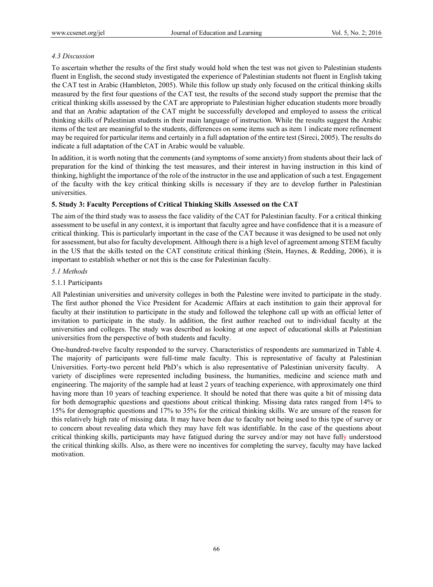# *4.3 Discussion*

To ascertain whether the results of the first study would hold when the test was not given to Palestinian students fluent in English, the second study investigated the experience of Palestinian students not fluent in English taking the CAT test in Arabic (Hambleton, 2005). While this follow up study only focused on the critical thinking skills measured by the first four questions of the CAT test, the results of the second study support the premise that the critical thinking skills assessed by the CAT are appropriate to Palestinian higher education students more broadly and that an Arabic adaptation of the CAT might be successfully developed and employed to assess the critical thinking skills of Palestinian students in their main language of instruction. While the results suggest the Arabic items of the test are meaningful to the students, differences on some items such as item 1 indicate more refinement may be required for particular items and certainly in a full adaptation of the entire test (Sireci, 2005). The results do indicate a full adaptation of the CAT in Arabic would be valuable.

In addition, it is worth noting that the comments (and symptoms of some anxiety) from students about their lack of preparation for the kind of thinking the test measures, and their interest in having instruction in this kind of thinking, highlight the importance of the role of the instructor in the use and application of such a test. Engagement of the faculty with the key critical thinking skills is necessary if they are to develop further in Palestinian universities.

# **5. Study 3: Faculty Perceptions of Critical Thinking Skills Assessed on the CAT**

The aim of the third study was to assess the face validity of the CAT for Palestinian faculty. For a critical thinking assessment to be useful in any context, it is important that faculty agree and have confidence that it is a measure of critical thinking. This is particularly important in the case of the CAT because it was designed to be used not only for assessment, but also for faculty development. Although there is a high level of agreement among STEM faculty in the US that the skills tested on the CAT constitute critical thinking (Stein, Haynes, & Redding, 2006), it is important to establish whether or not this is the case for Palestinian faculty.

# *5.1 Methods*

# 5.1.1 Participants

All Palestinian universities and university colleges in both the Palestine were invited to participate in the study. The first author phoned the Vice President for Academic Affairs at each institution to gain their approval for faculty at their institution to participate in the study and followed the telephone call up with an official letter of invitation to participate in the study. In addition, the first author reached out to individual faculty at the universities and colleges. The study was described as looking at one aspect of educational skills at Palestinian universities from the perspective of both students and faculty.

One-hundred-twelve faculty responded to the survey. Characteristics of respondents are summarized in Table 4. The majority of participants were full-time male faculty. This is representative of faculty at Palestinian Universities. Forty-two percent held PhD's which is also representative of Palestinian university faculty. A variety of disciplines were represented including business, the humanities, medicine and science math and engineering. The majority of the sample had at least 2 years of teaching experience, with approximately one third having more than 10 years of teaching experience. It should be noted that there was quite a bit of missing data for both demographic questions and questions about critical thinking. Missing data rates ranged from 14% to 15% for demographic questions and 17% to 35% for the critical thinking skills. We are unsure of the reason for this relatively high rate of missing data. It may have been due to faculty not being used to this type of survey or to concern about revealing data which they may have felt was identifiable. In the case of the questions about critical thinking skills, participants may have fatigued during the survey and/or may not have fully understood the critical thinking skills. Also, as there were no incentives for completing the survey, faculty may have lacked motivation.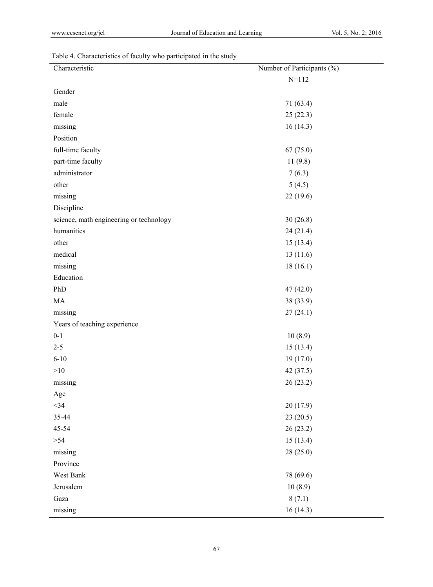# Table 4. Characteristics of faculty who participated in the study

| Characteristic                          | Number of Participants (%) |
|-----------------------------------------|----------------------------|
|                                         | $N = 112$                  |
| Gender                                  |                            |
| male                                    | 71 (63.4)                  |
| female                                  | 25(22.3)                   |
| missing                                 | 16(14.3)                   |
| Position                                |                            |
| full-time faculty                       | 67(75.0)                   |
| part-time faculty                       | 11(9.8)                    |
| administrator                           | 7(6.3)                     |
| other                                   | 5(4.5)                     |
| missing                                 | 22(19.6)                   |
| Discipline                              |                            |
| science, math engineering or technology | 30(26.8)                   |
| humanities                              | 24 (21.4)                  |
| other                                   | 15(13.4)                   |
| medical                                 | 13(11.6)                   |
| missing                                 | 18(16.1)                   |
| Education                               |                            |
| PhD                                     | 47(42.0)                   |
| MA                                      | 38 (33.9)                  |
| missing                                 | 27(24.1)                   |
| Years of teaching experience            |                            |
| $0 - 1$                                 | 10(8.9)                    |
| $2 - 5$                                 | 15(13.4)                   |
| $6 - 10$                                | 19 (17.0)                  |
| $>10$                                   | 42(37.5)                   |
| missing                                 | 26(23.2)                   |
| Age                                     |                            |
| $<$ 34                                  | 20(17.9)                   |
| 35-44                                   | 23(20.5)                   |
| 45-54                                   | 26(23.2)                   |
| $>54$                                   | 15(13.4)                   |
| missing                                 | 28(25.0)                   |
| Province                                |                            |
| West Bank                               | 78 (69.6)                  |
| Jerusalem                               | 10(8.9)                    |
| Gaza                                    | 8(7.1)                     |
| missing                                 | 16(14.3)                   |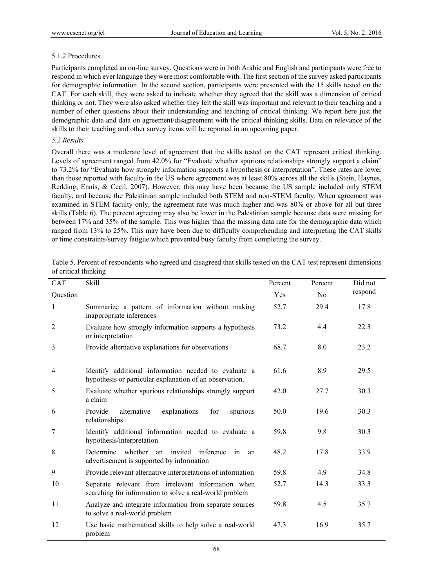# 5.1.2 Procedures

Participants completed an on-line survey. Questions were in both Arabic and English and participants were free to respond in which ever language they were most comfortable with. The first section of the survey asked participants for demographic information. In the second section, participants were presented with the 15 skills tested on the CAT. For each skill, they were asked to indicate whether they agreed that the skill was a dimension of critical thinking or not. They were also asked whether they felt the skill was important and relevant to their teaching and a number of other questions about their understanding and teaching of critical thinking. We report here just the demographic data and data on agreement/disagreement with the critical thinking skills. Data on relevance of the skills to their teaching and other survey items will be reported in an upcoming paper.

# *5.2 Results*

Overall there was a moderate level of agreement that the skills tested on the CAT represent critical thinking. Levels of agreement ranged from 42.0% for "Evaluate whether spurious relationships strongly support a claim" to 73.2% for "Evaluate how strongly information supports a hypothesis or interpretation". These rates are lower than those reported with faculty in the US where agreement was at least 80% across all the skills (Stein, Haynes, Redding, Ennis, & Cecil, 2007). However, this may have been because the US sample included only STEM faculty, and because the Palestinian sample included both STEM and non-STEM faculty. When agreement was examined in STEM faculty only, the agreement rate was much higher and was 80% or above for all but three skills (Table 6). The percent agreeing may also be lower in the Palestinian sample because data were missing for between 17% and 35% of the sample. This was higher than the missing data rate for the demographic data which ranged from 13% to 25%. This may have been due to difficulty comprehending and interpreting the CAT skills or time constraints/survey fatigue which prevented busy faculty from completing the survey.

| <b>CAT</b>     | Skill                                                                                                           | Percent | Percent        | Did not |
|----------------|-----------------------------------------------------------------------------------------------------------------|---------|----------------|---------|
| Question       |                                                                                                                 | Yes     | N <sub>o</sub> | respond |
| $\mathbf{1}$   | Summarize a pattern of information without making<br>inappropriate inferences                                   | 52.7    | 29.4           | 17.8    |
| $\overline{2}$ | Evaluate how strongly information supports a hypothesis<br>or interpretation                                    | 73.2    | 4.4            | 22.3    |
| 3              | Provide alternative explanations for observations                                                               | 68.7    | 8.0            | 23.2    |
| $\overline{4}$ | Identify additional information needed to evaluate a<br>hypothesis or particular explanation of an observation. | 61.6    | 8.9            | 29.5    |
| 5              | Evaluate whether spurious relationships strongly support<br>a claim                                             | 42.0    | 27.7           | 30.3    |
| 6              | Provide<br>alternative<br>explanations<br>for<br>spurious<br>relationships                                      | 50.0    | 19.6           | 30.3    |
| 7              | Identify additional information needed to evaluate a<br>hypothesis/interpretation                               | 59.8    | 9.8            | 30.3    |
| 8              | Determine<br>whether<br>invited<br>inference<br>in<br>an<br>an<br>advertisement is supported by information     | 48.2    | 17.8           | 33.9    |
| 9              | Provide relevant alternative interpretations of information                                                     | 59.8    | 4.9            | 34.8    |
| 10             | Separate relevant from irrelevant information when<br>searching for information to solve a real-world problem   | 52.7    | 14.3           | 33.3    |
| 11             | Analyze and integrate information from separate sources<br>to solve a real-world problem                        | 59.8    | 4.5            | 35.7    |
| 12             | Use basic mathematical skills to help solve a real-world<br>problem                                             | 47.3    | 16.9           | 35.7    |

Table 5. Percent of respondents who agreed and disagreed that skills tested on the CAT test represent dimensions of critical thinking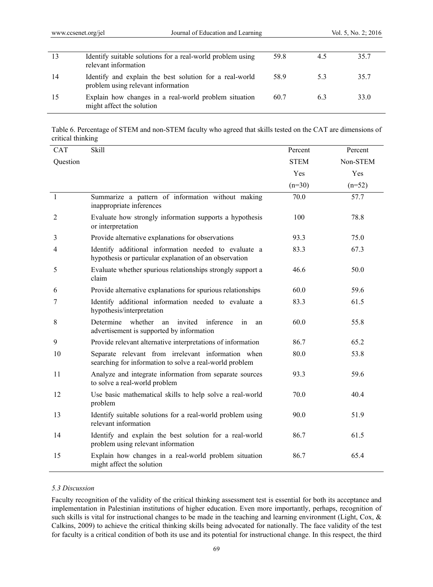| 13  | Identify suitable solutions for a real-world problem using<br>relevant information            | 59.8 | 45 | 357  |
|-----|-----------------------------------------------------------------------------------------------|------|----|------|
| 14  | Identify and explain the best solution for a real-world<br>problem using relevant information | 58.9 | 53 | 357  |
| -15 | Explain how changes in a real-world problem situation<br>might affect the solution            | 60.7 |    | 33.0 |

| Table 6. Percentage of STEM and non-STEM faculty who agreed that skills tested on the CAT are dimensions of |  |  |  |
|-------------------------------------------------------------------------------------------------------------|--|--|--|
| critical thinking                                                                                           |  |  |  |

| <b>CAT</b>   | <b>Skill</b>                                                                                                   | Percent     | Percent  |
|--------------|----------------------------------------------------------------------------------------------------------------|-------------|----------|
| Question     |                                                                                                                | <b>STEM</b> | Non-STEM |
|              |                                                                                                                | Yes         | Yes      |
|              |                                                                                                                | $(n=30)$    | $(n=52)$ |
| $\mathbf{1}$ | Summarize a pattern of information without making<br>inappropriate inferences                                  | 70.0        | 57.7     |
| 2            | Evaluate how strongly information supports a hypothesis<br>or interpretation                                   | 100         | 78.8     |
| 3            | Provide alternative explanations for observations                                                              | 93.3        | 75.0     |
| 4            | Identify additional information needed to evaluate a<br>hypothesis or particular explanation of an observation | 83.3        | 67.3     |
| 5            | Evaluate whether spurious relationships strongly support a<br>claim                                            | 46.6        | 50.0     |
| 6            | Provide alternative explanations for spurious relationships                                                    | 60.0        | 59.6     |
| 7            | Identify additional information needed to evaluate a<br>hypothesis/interpretation                              | 83.3        | 61.5     |
| 8            | Determine<br>whether<br>invited<br>inference<br>an<br>in<br>an<br>advertisement is supported by information    | 60.0        | 55.8     |
| 9            | Provide relevant alternative interpretations of information                                                    | 86.7        | 65.2     |
| 10           | Separate relevant from irrelevant information when<br>searching for information to solve a real-world problem  | 80.0        | 53.8     |
| 11           | Analyze and integrate information from separate sources<br>to solve a real-world problem                       | 93.3        | 59.6     |
| 12           | Use basic mathematical skills to help solve a real-world<br>problem                                            | 70.0        | 40.4     |
| 13           | Identify suitable solutions for a real-world problem using<br>relevant information                             | 90.0        | 51.9     |
| 14           | Identify and explain the best solution for a real-world<br>problem using relevant information                  | 86.7        | 61.5     |
| 15           | Explain how changes in a real-world problem situation<br>might affect the solution                             | 86.7        | 65.4     |

# *5.3 Discussion*

Faculty recognition of the validity of the critical thinking assessment test is essential for both its acceptance and implementation in Palestinian institutions of higher education. Even more importantly, perhaps, recognition of such skills is vital for instructional changes to be made in the teaching and learning environment (Light, Cox, & Calkins, 2009) to achieve the critical thinking skills being advocated for nationally. The face validity of the test for faculty is a critical condition of both its use and its potential for instructional change. In this respect, the third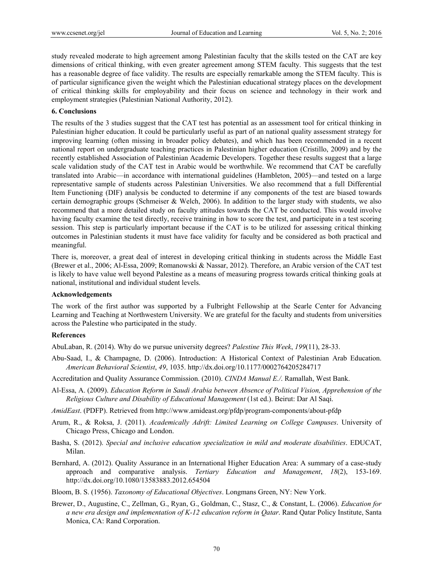study revealed moderate to high agreement among Palestinian faculty that the skills tested on the CAT are key dimensions of critical thinking, with even greater agreement among STEM faculty. This suggests that the test has a reasonable degree of face validity. The results are especially remarkable among the STEM faculty. This is of particular significance given the weight which the Palestinian educational strategy places on the development of critical thinking skills for employability and their focus on science and technology in their work and employment strategies (Palestinian National Authority, 2012).

#### **6. Conclusions**

The results of the 3 studies suggest that the CAT test has potential as an assessment tool for critical thinking in Palestinian higher education. It could be particularly useful as part of an national quality assessment strategy for improving learning (often missing in broader policy debates), and which has been recommended in a recent national report on undergraduate teaching practices in Palestinian higher education (Cristillo, 2009) and by the recently established Association of Palestinian Academic Developers. Together these results suggest that a large scale validation study of the CAT test in Arabic would be worthwhile. We recommend that CAT be carefully translated into Arabic—in accordance with international guidelines (Hambleton, 2005)—and tested on a large representative sample of students across Palestinian Universities. We also recommend that a full Differential Item Functioning (DIF) analysis be conducted to determine if any components of the test are biased towards certain demographic groups (Schmeiser & Welch, 2006). In addition to the larger study with students, we also recommend that a more detailed study on faculty attitudes towards the CAT be conducted. This would involve having faculty examine the test directly, receive training in how to score the test, and participate in a test scoring session. This step is particularly important because if the CAT is to be utilized for assessing critical thinking outcomes in Palestinian students it must have face validity for faculty and be considered as both practical and meaningful.

There is, moreover, a great deal of interest in developing critical thinking in students across the Middle East (Brewer et al., 2006; Al-Essa, 2009; Romanowski & Nassar, 2012). Therefore, an Arabic version of the CAT test is likely to have value well beyond Palestine as a means of measuring progress towards critical thinking goals at national, institutional and individual student levels.

#### **Acknowledgements**

The work of the first author was supported by a Fulbright Fellowship at the Searle Center for Advancing Learning and Teaching at Northwestern University. We are grateful for the faculty and students from universities across the Palestine who participated in the study.

# **References**

AbuLaban, R. (2014). Why do we pursue university degrees? *Palestine This Week*, *199*(11), 28-33.

- Abu-Saad, I., & Champagne, D. (2006). Introduction: A Historical Context of Palestinian Arab Education. *American Behavioral Scientist*, *49*, 1035. http://dx.doi.org/10.1177/0002764205284717
- Accreditation and Quality Assurance Commission. (2010). *CINDA Manual E./*. Ramallah, West Bank.
- Al-Essa, A. (2009). *Education Reform in Saudi Arabia between Absence of Political Vision, Apprehension of the Religious Culture and Disability of Educational Management* (1st ed.). Beirut: Dar Al Saqi.
- *AmidEast*. (PDFP). Retrieved from http://www.amideast.org/pfdp/program-components/about-pfdp
- Arum, R., & Roksa, J. (2011). *Academically Adrift: Limited Learning on College Campuses*. University of Chicago Press, Chicago and London.
- Basha, S. (2012). *Special and inclusive education specialization in mild and moderate disabilities*. EDUCAT, Milan.
- Bernhard, A. (2012). Quality Assurance in an International Higher Education Area: A summary of a case-study approach and comparative analysis. *Tertiary Education and Management*, *18*(2), 153-169. http://dx.doi.org/10.1080/13583883.2012.654504
- Bloom, B. S. (1956). *Taxonomy of Educational Objectives*. Longmans Green, NY: New York.
- Brewer, D., Augustine, C., Zellman, G., Ryan, G., Goldman, C., Stasz, C., & Constant, L. (2006). *Education for a new era design and implementation of K-12 education reform in Qatar*. Rand Qatar Policy Institute, Santa Monica, CA: Rand Corporation.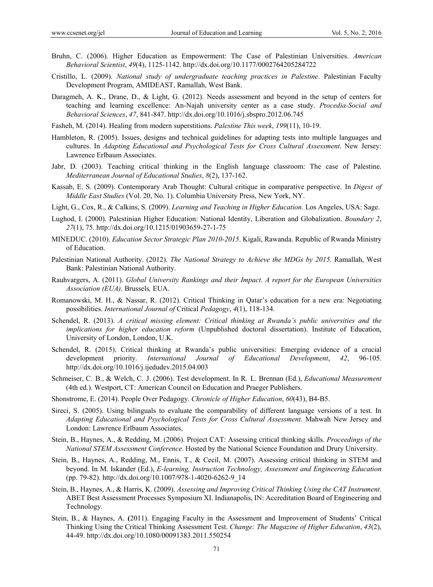- Bruhn, C. (2006). Higher Education as Empowerment: The Case of Palestinian Universities. *American Behavioral Scientist*, *49*(4), 1125-1142. http://dx.doi.org/10.1177/0002764205284722
- Cristillo, L. (2009). *National study of undergraduate teaching practices in Palestine*. Palestinian Faculty Development Program, AMIDEAST, Ramallah, West Bank.
- Daragmeh, A. K., Drane, D., & Light, G. (2012). Needs assessment and beyond in the setup of centers for teaching and learning excellence: An-Najah university center as a case study. *P*r*ocedia-Social and Behavioral Sciences*, *47*, 841-847. http://dx.doi.org/10.1016/j.sbspro.2012.06.745
- Fasheh, M. (2014). Healing from modern superstitions. *Palestine This week*, *199*(11), 10-19.
- Hambleton, R. (2005). Issues, designs and technical guidelines for adapting tests into multiple languages and cultures. In *Adapting Educational and Psychological Tests for Cross Cultural Assessment*. New Jersey: Lawrence Erlbaum Associates.
- Jabr, D. (2003). Teaching critical thinking in the English language classroom: The case of Palestine. *Mediterranean Journal of Educational Studies*, *8*(2), 137-162.
- Kassab, E. S. (2009). Contemporary Arab Thought: Cultural critique in comparative perspective. In *Digest of Middle East Studies* (Vol. 20, No. 1). Columbia University Press, New York, NY.
- Light, G., Cox, R., & Calkins, S. (2009). *Learning and Teaching in Higher Education*. Los Angeles, USA: Sage.
- Lughod, I. (2000). Palestinian Higher Education: National Identity, Liberation and Globalization. *Boundary 2*, *27*(1), 75. http://dx.doi.org/10.1215/01903659-27-1-75
- MINEDUC. (2010). *Education Sector Strategic Plan 2010-2015*. Kigali, Rawanda. Republic of Rwanda Ministry of Education.
- Palestinian National Authority. (2012). *The National Strategy to Achieve the MDGs by 2015*. Ramallah, West Bank: Palestinian National Authority.
- Rauhvargers, A. (2011). *Global University Rankings and their Impact*. *A report for the European Universities Association (EUA)*. Brussels*,* EUA.
- Romanowski, M. H., & Nassar, R. (2012). Critical Thinking in Qatar's education for a new era: Negotiating possibilities. *International Journal of* Critical *Pedagogy*, *4*(1), 118-134.
- Schendel, R. (2013). *A critical missing element: Critical thinking at Rwanda's public universities and the implications for higher education reform* (Unpublished doctoral dissertation). Institute of Education, University of London, London, U.K.
- Schendel, R. (2015). Critical thinking at Rwanda's public universities: Emerging evidence of a crucial development priority. *International Journal of Educational Development*, *42*, 96-105. http://dx.doi.org/10.1016/j.ijedudev.2015.04.003
- Schmeiser, C. B., & Welch, C. J. (2006). Test development. In R. L. Brennan (Ed.), *Educational Measurement* (4th ed.). Westport, CT: American Council on Education and Praeger Publishers.
- Shonstrome, E. (2014). People Over Pedagogy. *Chronicle of Higher Education*, *60*(43), B4-B5.
- Sireci, S. (2005). Using bilinguals to evaluate the comparability of different language versions of a test. In *Adapting Educational and Psychological Tests for Cross Cultural Assessment*. Mahwah New Jersey and London: Lawrence Erlbaum Associates,
- Stein, B., Haynes, A., & Redding, M. (2006). Project CAT: Assessing critical thinking skills. *Proceedings of the National STEM Assessment Conference*. Hosted by the National Science Foundation and Drury University.
- Stein, B., Haynes, A., Redding, M., Ennis, T., & Cecil, M. (2007). Assessing critical thinking in STEM and beyond. In M. Iskander (Ed.), *E-learning, Instruction Technology, Assessment and Engineering Education* (pp. 79-82). http://dx.doi.org/10.1007/978-1-4020-6262-9\_14
- Stein, B., Haynes, A., & Harris, K. (2009). *Assessing and Improving Critical Thinking Using the CAT Instrument*. ABET Best Assessment Processes Symposium XI. Indianapolis, IN: Accreditation Board of Engineering and Technology.
- Stein, B., & Haynes, A. **(**2011). Engaging Faculty in the Assessment and Improvement of Students' Critical Thinking Using the Critical Thinking Assessment Test. *Change: The Magazine of Higher Education*, *43*(2), 44-49. http://dx.doi.org/10.1080/00091383.2011.550254